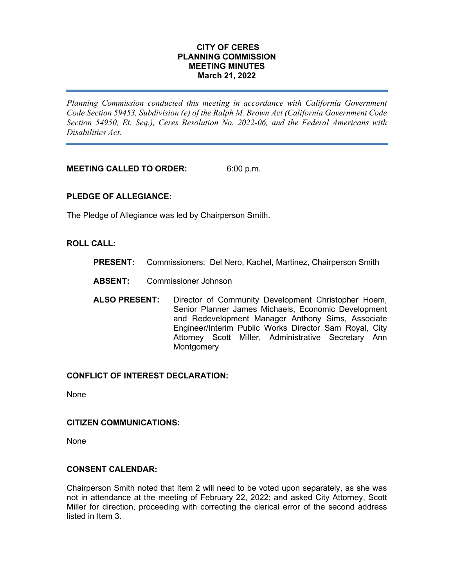#### **CITY OF CERES PLANNING COMMISSION MEETING MINUTES March 21, 2022**

*Planning Commission conducted this meeting in accordance with California Government Code Section 59453, Subdivision (e) of the Ralph M. Brown Act (California Government Code Section 54950, Et. Seq.), Ceres Resolution No. 2022-06, and the Federal Americans with Disabilities Act.*

**MEETING CALLED TO ORDER:** 6:00 p.m.

### **PLEDGE OF ALLEGIANCE:**

The Pledge of Allegiance was led by Chairperson Smith.

#### **ROLL CALL:**

- **PRESENT:** Commissioners: Del Nero, Kachel, Martinez, Chairperson Smith
- **ABSENT:** Commissioner Johnson
- **ALSO PRESENT:** Director of Community Development Christopher Hoem, Senior Planner James Michaels, Economic Development and Redevelopment Manager Anthony Sims, Associate Engineer/Interim Public Works Director Sam Royal, City Attorney Scott Miller, Administrative Secretary Ann **Montgomery**

#### **CONFLICT OF INTEREST DECLARATION:**

None

#### **CITIZEN COMMUNICATIONS:**

None

### **CONSENT CALENDAR:**

Chairperson Smith noted that Item 2 will need to be voted upon separately, as she was not in attendance at the meeting of February 22, 2022; and asked City Attorney, Scott Miller for direction, proceeding with correcting the clerical error of the second address listed in Item 3.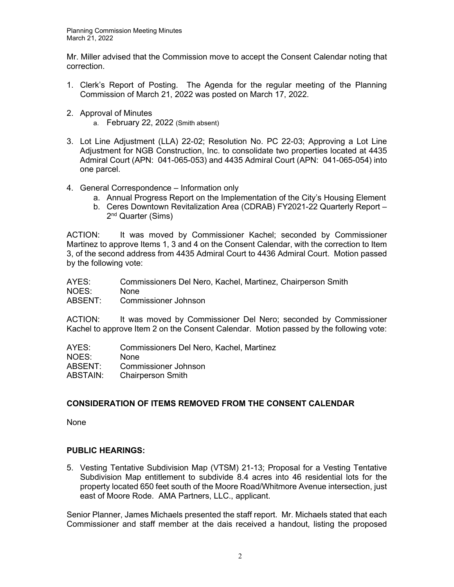Mr. Miller advised that the Commission move to accept the Consent Calendar noting that correction.

- 1. Clerk's Report of Posting. The Agenda for the regular meeting of the Planning Commission of March 21, 2022 was posted on March 17, 2022.
- 2. Approval of Minutes
	- a. February 22, 2022 (Smith absent)
- 3. Lot Line Adjustment (LLA) 22-02; Resolution No. PC 22-03; Approving a Lot Line Adjustment for NGB Construction, Inc. to consolidate two properties located at 4435 Admiral Court (APN: 041-065-053) and 4435 Admiral Court (APN: 041-065-054) into one parcel.
- 4. General Correspondence Information only
	- a. Annual Progress Report on the Implementation of the City's Housing Element
	- b. Ceres Downtown Revitalization Area (CDRAB) FY2021-22 Quarterly Report 2<sup>nd</sup> Quarter (Sims)

ACTION: It was moved by Commissioner Kachel; seconded by Commissioner Martinez to approve Items 1, 3 and 4 on the Consent Calendar, with the correction to Item 3, of the second address from 4435 Admiral Court to 4436 Admiral Court. Motion passed by the following vote:

| AYES:   | Commissioners Del Nero, Kachel, Martinez, Chairperson Smith |
|---------|-------------------------------------------------------------|
| NOES:   | None.                                                       |
| ABSENT: | Commissioner Johnson                                        |

ACTION: It was moved by Commissioner Del Nero; seconded by Commissioner Kachel to approve Item 2 on the Consent Calendar. Motion passed by the following vote:

| AYES:    | Commissioners Del Nero, Kachel, Martinez |
|----------|------------------------------------------|
| NOES:    | <b>None</b>                              |
| ABSENT:  | Commissioner Johnson                     |
| ABSTAIN: | <b>Chairperson Smith</b>                 |

# **CONSIDERATION OF ITEMS REMOVED FROM THE CONSENT CALENDAR**

None

# **PUBLIC HEARINGS:**

5. Vesting Tentative Subdivision Map (VTSM) 21-13; Proposal for a Vesting Tentative Subdivision Map entitlement to subdivide 8.4 acres into 46 residential lots for the property located 650 feet south of the Moore Road/Whitmore Avenue intersection, just east of Moore Rode. AMA Partners, LLC., applicant.

Senior Planner, James Michaels presented the staff report. Mr. Michaels stated that each Commissioner and staff member at the dais received a handout, listing the proposed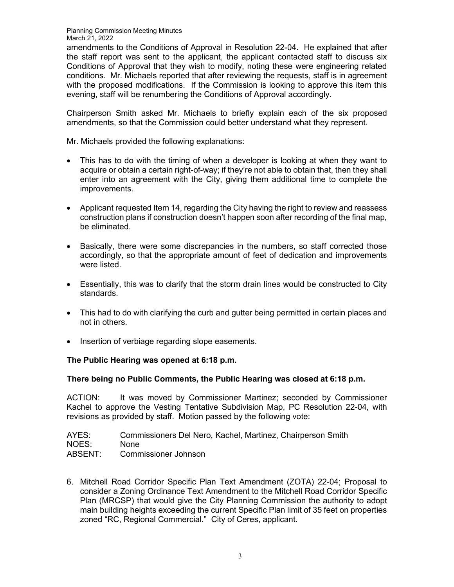Planning Commission Meeting Minutes March 21, 2022

amendments to the Conditions of Approval in Resolution 22-04. He explained that after the staff report was sent to the applicant, the applicant contacted staff to discuss six Conditions of Approval that they wish to modify, noting these were engineering related conditions. Mr. Michaels reported that after reviewing the requests, staff is in agreement with the proposed modifications. If the Commission is looking to approve this item this evening, staff will be renumbering the Conditions of Approval accordingly.

Chairperson Smith asked Mr. Michaels to briefly explain each of the six proposed amendments, so that the Commission could better understand what they represent.

Mr. Michaels provided the following explanations:

- This has to do with the timing of when a developer is looking at when they want to acquire or obtain a certain right-of-way; if they're not able to obtain that, then they shall enter into an agreement with the City, giving them additional time to complete the improvements.
- Applicant requested Item 14, regarding the City having the right to review and reassess construction plans if construction doesn't happen soon after recording of the final map, be eliminated.
- Basically, there were some discrepancies in the numbers, so staff corrected those accordingly, so that the appropriate amount of feet of dedication and improvements were listed.
- Essentially, this was to clarify that the storm drain lines would be constructed to City standards.
- This had to do with clarifying the curb and gutter being permitted in certain places and not in others.
- Insertion of verbiage regarding slope easements.

#### **The Public Hearing was opened at 6:18 p.m.**

#### **There being no Public Comments, the Public Hearing was closed at 6:18 p.m.**

ACTION: It was moved by Commissioner Martinez; seconded by Commissioner Kachel to approve the Vesting Tentative Subdivision Map, PC Resolution 22-04, with revisions as provided by staff. Motion passed by the following vote:

AYES: Commissioners Del Nero, Kachel, Martinez, Chairperson Smith NOES: None ABSENT: Commissioner Johnson

6. Mitchell Road Corridor Specific Plan Text Amendment (ZOTA) 22-04; Proposal to consider a Zoning Ordinance Text Amendment to the Mitchell Road Corridor Specific Plan (MRCSP) that would give the City Planning Commission the authority to adopt main building heights exceeding the current Specific Plan limit of 35 feet on properties zoned "RC, Regional Commercial." City of Ceres, applicant.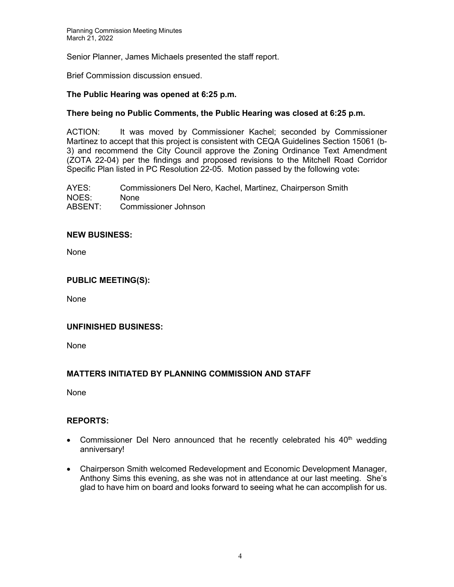Senior Planner, James Michaels presented the staff report.

Brief Commission discussion ensued.

## **The Public Hearing was opened at 6:25 p.m.**

## **There being no Public Comments, the Public Hearing was closed at 6:25 p.m.**

ACTION: It was moved by Commissioner Kachel; seconded by Commissioner Martinez to accept that this project is consistent with CEQA Guidelines Section 15061 (b-3) and recommend the City Council approve the Zoning Ordinance Text Amendment (ZOTA 22-04) per the findings and proposed revisions to the Mitchell Road Corridor Specific Plan listed in PC Resolution 22-05. Motion passed by the following vote:

AYES: Commissioners Del Nero, Kachel, Martinez, Chairperson Smith NOES: None ABSENT: Commissioner Johnson

## **NEW BUSINESS:**

None

## **PUBLIC MEETING(S):**

None

### **UNFINISHED BUSINESS:**

None

# **MATTERS INITIATED BY PLANNING COMMISSION AND STAFF**

None

### **REPORTS:**

- Commissioner Del Nero announced that he recently celebrated his  $40<sup>th</sup>$  wedding anniversary!
- Chairperson Smith welcomed Redevelopment and Economic Development Manager, Anthony Sims this evening, as she was not in attendance at our last meeting. She's glad to have him on board and looks forward to seeing what he can accomplish for us.